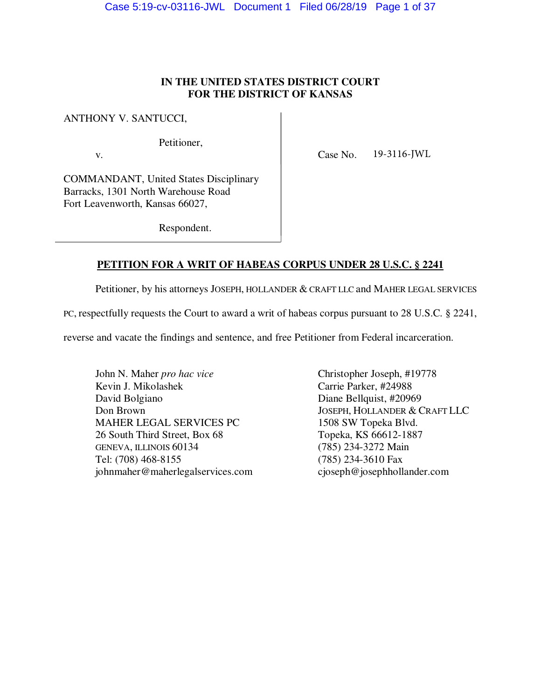# **IN THE UNITED STATES DISTRICT COURT FOR THE DISTRICT OF KANSAS**

ANTHONY V. SANTUCCI,

Petitioner,

v. Case No. 19-3116-JWL

COMMANDANT, United States Disciplinary Barracks, 1301 North Warehouse Road Fort Leavenworth, Kansas 66027,

Respondent.

# **PETITION FOR A WRIT OF HABEAS CORPUS UNDER 28 U.S.C. § 2241**

Petitioner, by his attorneys JOSEPH, HOLLANDER & CRAFT LLC and MAHER LEGAL SERVICES

PC, respectfully requests the Court to award a writ of habeas corpus pursuant to 28 U.S.C. § 2241,

reverse and vacate the findings and sentence, and free Petitioner from Federal incarceration.

John N. Maher *pro hac vice* Christopher Joseph, #19778 Kevin J. Mikolashek Carrie Parker, #24988 David Bolgiano Diane Bellquist, #20969 MAHER LEGAL SERVICES PC 1508 SW Topeka Blvd. 26 South Third Street, Box 68 Topeka, KS 66612-1887<br>GENEVA, ILLINOIS 60134 (785) 234-3272 Main GENEVA, ILLINOIS 60134 Tel: (708) 468-8155 (785) 234-3610 Fax<br>
iohnmaher@maherlegalservices.com cjoseph@josephhollander.com johnmaher@maherlegalservices.com

Don Brown JOSEPH, HOLLANDER & CRAFT LLC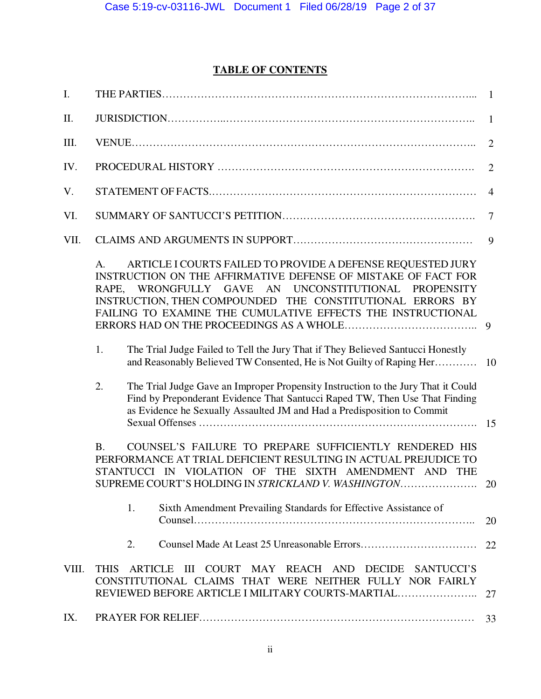# **TABLE OF CONTENTS**

| I.    |                                                                                                                                                                                                                                                                                                                                    | $\mathbf{1}$   |
|-------|------------------------------------------------------------------------------------------------------------------------------------------------------------------------------------------------------------------------------------------------------------------------------------------------------------------------------------|----------------|
| II.   |                                                                                                                                                                                                                                                                                                                                    | $\mathbf{1}$   |
| III.  |                                                                                                                                                                                                                                                                                                                                    | $\overline{2}$ |
| IV.   |                                                                                                                                                                                                                                                                                                                                    | $\overline{2}$ |
| V.    |                                                                                                                                                                                                                                                                                                                                    | $\overline{4}$ |
| VI.   |                                                                                                                                                                                                                                                                                                                                    | $\overline{7}$ |
| VII.  |                                                                                                                                                                                                                                                                                                                                    | 9              |
|       | ARTICLE I COURTS FAILED TO PROVIDE A DEFENSE REQUESTED JURY<br>$\mathsf{A}$ .<br>INSTRUCTION ON THE AFFIRMATIVE DEFENSE OF MISTAKE OF FACT FOR<br>RAPE, WRONGFULLY GAVE AN UNCONSTITUTIONAL PROPENSITY<br>INSTRUCTION, THEN COMPOUNDED THE CONSTITUTIONAL ERRORS BY<br>FAILING TO EXAMINE THE CUMULATIVE EFFECTS THE INSTRUCTIONAL |                |
|       | 1.<br>The Trial Judge Failed to Tell the Jury That if They Believed Santucci Honestly<br>and Reasonably Believed TW Consented, He is Not Guilty of Raping Her 10                                                                                                                                                                   |                |
|       | 2.<br>The Trial Judge Gave an Improper Propensity Instruction to the Jury That it Could<br>Find by Preponderant Evidence That Santucci Raped TW, Then Use That Finding<br>as Evidence he Sexually Assaulted JM and Had a Predisposition to Commit                                                                                  | 15             |
|       | COUNSEL'S FAILURE TO PREPARE SUFFICIENTLY RENDERED HIS<br><b>B.</b><br>PERFORMANCE AT TRIAL DEFICIENT RESULTING IN ACTUAL PREJUDICE TO<br>STANTUCCI IN VIOLATION OF THE SIXTH AMENDMENT AND<br><b>THE</b><br>SUPREME COURT'S HOLDING IN STRICKLAND V. WASHINGTON                                                                   | 20             |
|       | Sixth Amendment Prevailing Standards for Effective Assistance of<br>1.                                                                                                                                                                                                                                                             | 20             |
|       | 2.                                                                                                                                                                                                                                                                                                                                 | 22             |
| VIII. | III COURT MAY REACH AND DECIDE SANTUCCI'S<br><b>THIS</b><br><b>ARTICLE</b><br>CONSTITUTIONAL CLAIMS THAT WERE NEITHER FULLY NOR FAIRLY<br>REVIEWED BEFORE ARTICLE I MILITARY COURTS-MARTIAL                                                                                                                                        | 27             |
| IX.   |                                                                                                                                                                                                                                                                                                                                    | 33             |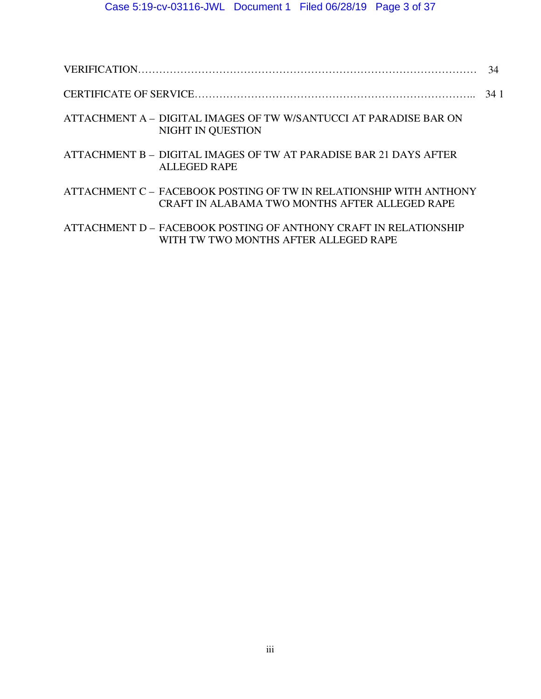|--|

- CERTIFICATE OF SERVICE…………………………………………………………………….. 34 1
- ATTACHMENT A DIGITAL IMAGES OF TW W/SANTUCCI AT PARADISE BAR ON NIGHT IN QUESTION
- ATTACHMENT B DIGITAL IMAGES OF TW AT PARADISE BAR 21 DAYS AFTER ALLEGED RAPE
- ATTACHMENT C FACEBOOK POSTING OF TW IN RELATIONSHIP WITH ANTHONY CRAFT IN ALABAMA TWO MONTHS AFTER ALLEGED RAPE
- ATTACHMENT D FACEBOOK POSTING OF ANTHONY CRAFT IN RELATIONSHIP WITH TW TWO MONTHS AFTER ALLEGED RAPE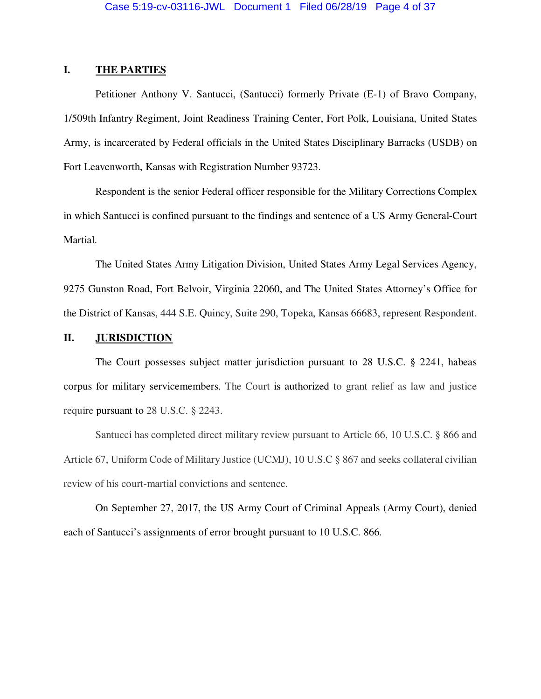### **I. THE PARTIES**

 Petitioner Anthony V. Santucci, (Santucci) formerly Private (E-1) of Bravo Company, 1/509th Infantry Regiment, Joint Readiness Training Center, Fort Polk, Louisiana, United States Army, is incarcerated by Federal officials in the United States Disciplinary Barracks (USDB) on Fort Leavenworth, Kansas with Registration Number 93723.

 Respondent is the senior Federal officer responsible for the Military Corrections Complex in which Santucci is confined pursuant to the findings and sentence of a US Army General-Court Martial.

 The United States Army Litigation Division, United States Army Legal Services Agency, 9275 Gunston Road, Fort Belvoir, Virginia 22060, and The United States Attorney's Office for the District of Kansas, 444 S.E. Quincy, Suite 290, Topeka, Kansas 66683, represent Respondent.

### **II. JURISDICTION**

 The Court possesses subject matter jurisdiction pursuant to 28 U.S.C. § 2241, habeas corpus for military servicemembers. The Court is authorized to grant relief as law and justice require pursuant to 28 U.S.C. § 2243.

 Santucci has completed direct military review pursuant to Article 66, 10 U.S.C. § 866 and Article 67, Uniform Code of Military Justice (UCMJ), 10 U.S.C § 867 and seeks collateral civilian review of his court-martial convictions and sentence.

On September 27, 2017, the US Army Court of Criminal Appeals (Army Court), denied each of Santucci's assignments of error brought pursuant to 10 U.S.C. 866.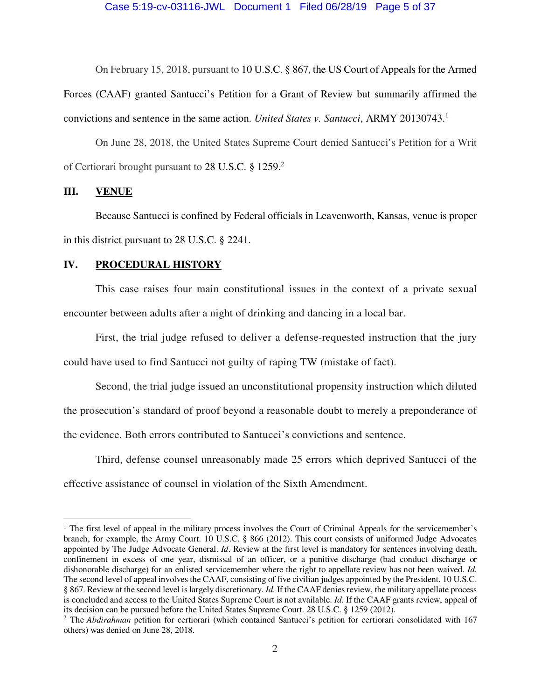On February 15, 2018, pursuant to 10 U.S.C. § 867, the US Court of Appeals for the Armed

Forces (CAAF) granted Santucci's Petition for a Grant of Review but summarily affirmed the convictions and sentence in the same action. *United States v. Santucci*, ARMY 20130743.<sup>1</sup>

On June 28, 2018, the United States Supreme Court denied Santucci's Petition for a Writ of Certiorari brought pursuant to 28 U.S.C. § 1259.<sup>2</sup>

### **III. VENUE**

Because Santucci is confined by Federal officials in Leavenworth, Kansas, venue is proper in this district pursuant to 28 U.S.C. § 2241.

### **IV. PROCEDURAL HISTORY**

This case raises four main constitutional issues in the context of a private sexual encounter between adults after a night of drinking and dancing in a local bar.

First, the trial judge refused to deliver a defense-requested instruction that the jury could have used to find Santucci not guilty of raping TW (mistake of fact).

Second, the trial judge issued an unconstitutional propensity instruction which diluted the prosecution's standard of proof beyond a reasonable doubt to merely a preponderance of the evidence. Both errors contributed to Santucci's convictions and sentence.

Third, defense counsel unreasonably made 25 errors which deprived Santucci of the effective assistance of counsel in violation of the Sixth Amendment.

<sup>&</sup>lt;sup>1</sup> The first level of appeal in the military process involves the Court of Criminal Appeals for the servicemember's branch, for example, the Army Court. 10 U.S.C. § 866 (2012). This court consists of uniformed Judge Advocates appointed by The Judge Advocate General. *Id*. Review at the first level is mandatory for sentences involving death, confinement in excess of one year, dismissal of an officer, or a punitive discharge (bad conduct discharge or dishonorable discharge) for an enlisted servicemember where the right to appellate review has not been waived. *Id*. The second level of appeal involves the CAAF, consisting of five civilian judges appointed by the President. 10 U.S.C. § 867. Review at the second level is largely discretionary. *Id*. If the CAAF denies review, the military appellate process is concluded and access to the United States Supreme Court is not available. *Id*. If the CAAF grants review, appeal of its decision can be pursued before the United States Supreme Court. 28 U.S.C. § 1259 (2012).

<sup>&</sup>lt;sup>2</sup> The *Abdirahman* petition for certiorari (which contained Santucci's petition for certiorari consolidated with 167 others) was denied on June 28, 2018.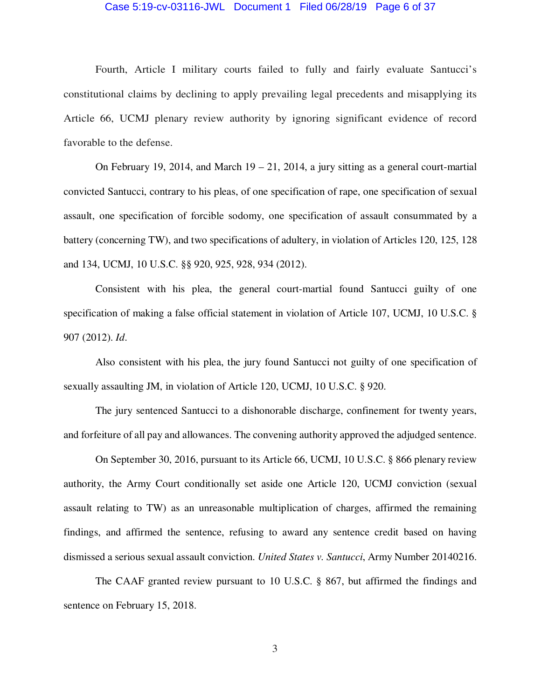### Case 5:19-cv-03116-JWL Document 1 Filed 06/28/19 Page 6 of 37

 Fourth, Article I military courts failed to fully and fairly evaluate Santucci's constitutional claims by declining to apply prevailing legal precedents and misapplying its Article 66, UCMJ plenary review authority by ignoring significant evidence of record favorable to the defense.

On February 19, 2014, and March  $19 - 21$ , 2014, a jury sitting as a general court-martial convicted Santucci, contrary to his pleas, of one specification of rape, one specification of sexual assault, one specification of forcible sodomy, one specification of assault consummated by a battery (concerning TW), and two specifications of adultery, in violation of Articles 120, 125, 128 and 134, UCMJ, 10 U.S.C. §§ 920, 925, 928, 934 (2012).

 Consistent with his plea, the general court-martial found Santucci guilty of one specification of making a false official statement in violation of Article 107, UCMJ, 10 U.S.C. § 907 (2012). *Id*.

 Also consistent with his plea, the jury found Santucci not guilty of one specification of sexually assaulting JM, in violation of Article 120, UCMJ, 10 U.S.C. § 920.

 The jury sentenced Santucci to a dishonorable discharge, confinement for twenty years, and forfeiture of all pay and allowances. The convening authority approved the adjudged sentence.

 On September 30, 2016, pursuant to its Article 66, UCMJ, 10 U.S.C. § 866 plenary review authority, the Army Court conditionally set aside one Article 120, UCMJ conviction (sexual assault relating to TW) as an unreasonable multiplication of charges, affirmed the remaining findings, and affirmed the sentence, refusing to award any sentence credit based on having dismissed a serious sexual assault conviction. *United States v. Santucci*, Army Number 20140216.

 The CAAF granted review pursuant to 10 U.S.C. § 867, but affirmed the findings and sentence on February 15, 2018.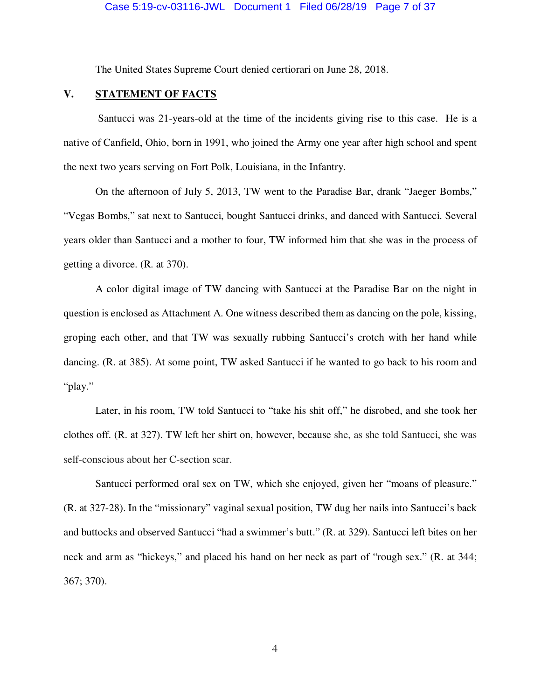The United States Supreme Court denied certiorari on June 28, 2018.

### **V. STATEMENT OF FACTS**

 Santucci was 21-years-old at the time of the incidents giving rise to this case. He is a native of Canfield, Ohio, born in 1991, who joined the Army one year after high school and spent the next two years serving on Fort Polk, Louisiana, in the Infantry.

 On the afternoon of July 5, 2013, TW went to the Paradise Bar, drank "Jaeger Bombs," "Vegas Bombs," sat next to Santucci, bought Santucci drinks, and danced with Santucci. Several years older than Santucci and a mother to four, TW informed him that she was in the process of getting a divorce. (R. at 370).

 A color digital image of TW dancing with Santucci at the Paradise Bar on the night in question is enclosed as Attachment A. One witness described them as dancing on the pole, kissing, groping each other, and that TW was sexually rubbing Santucci's crotch with her hand while dancing. (R. at 385). At some point, TW asked Santucci if he wanted to go back to his room and "play."

 Later, in his room, TW told Santucci to "take his shit off," he disrobed, and she took her clothes off. (R. at 327). TW left her shirt on, however, because she, as she told Santucci, she was self-conscious about her C-section scar.

Santucci performed oral sex on TW, which she enjoyed, given her "moans of pleasure." (R. at 327-28). In the "missionary" vaginal sexual position, TW dug her nails into Santucci's back and buttocks and observed Santucci "had a swimmer's butt." (R. at 329). Santucci left bites on her neck and arm as "hickeys," and placed his hand on her neck as part of "rough sex." (R. at 344; 367; 370).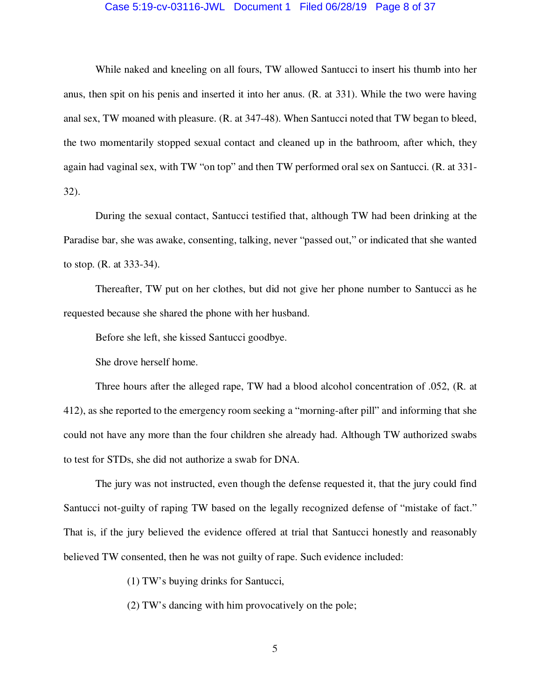### Case 5:19-cv-03116-JWL Document 1 Filed 06/28/19 Page 8 of 37

 While naked and kneeling on all fours, TW allowed Santucci to insert his thumb into her anus, then spit on his penis and inserted it into her anus. (R. at 331). While the two were having anal sex, TW moaned with pleasure. (R. at 347-48). When Santucci noted that TW began to bleed, the two momentarily stopped sexual contact and cleaned up in the bathroom, after which, they again had vaginal sex, with TW "on top" and then TW performed oral sex on Santucci. (R. at 331- 32).

 During the sexual contact, Santucci testified that, although TW had been drinking at the Paradise bar, she was awake, consenting, talking, never "passed out," or indicated that she wanted to stop. (R. at 333-34).

 Thereafter, TW put on her clothes, but did not give her phone number to Santucci as he requested because she shared the phone with her husband.

Before she left, she kissed Santucci goodbye.

She drove herself home.

 Three hours after the alleged rape, TW had a blood alcohol concentration of .052, (R. at 412), as she reported to the emergency room seeking a "morning-after pill" and informing that she could not have any more than the four children she already had. Although TW authorized swabs to test for STDs, she did not authorize a swab for DNA.

 The jury was not instructed, even though the defense requested it, that the jury could find Santucci not-guilty of raping TW based on the legally recognized defense of "mistake of fact." That is, if the jury believed the evidence offered at trial that Santucci honestly and reasonably believed TW consented, then he was not guilty of rape. Such evidence included:

(1) TW's buying drinks for Santucci,

(2) TW's dancing with him provocatively on the pole;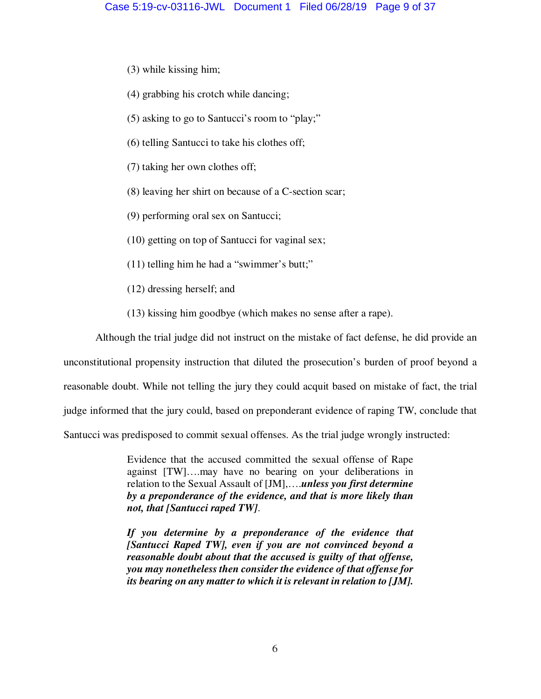- (3) while kissing him;
- (4) grabbing his crotch while dancing;
- (5) asking to go to Santucci's room to "play;"
- (6) telling Santucci to take his clothes off;
- (7) taking her own clothes off;
- (8) leaving her shirt on because of a C-section scar;
- (9) performing oral sex on Santucci;
- (10) getting on top of Santucci for vaginal sex;
- (11) telling him he had a "swimmer's butt;"
- (12) dressing herself; and
- (13) kissing him goodbye (which makes no sense after a rape).

 Although the trial judge did not instruct on the mistake of fact defense, he did provide an unconstitutional propensity instruction that diluted the prosecution's burden of proof beyond a reasonable doubt. While not telling the jury they could acquit based on mistake of fact, the trial judge informed that the jury could, based on preponderant evidence of raping TW, conclude that Santucci was predisposed to commit sexual offenses. As the trial judge wrongly instructed:

> Evidence that the accused committed the sexual offense of Rape against [TW]….may have no bearing on your deliberations in relation to the Sexual Assault of [JM],….*unless you first determine by a preponderance of the evidence, and that is more likely than not, that [Santucci raped TW]*.

> *If you determine by a preponderance of the evidence that [Santucci Raped TW], even if you are not convinced beyond a reasonable doubt about that the accused is guilty of that offense, you may nonetheless then consider the evidence of that offense for its bearing on any matter to which it is relevant in relation to [JM].*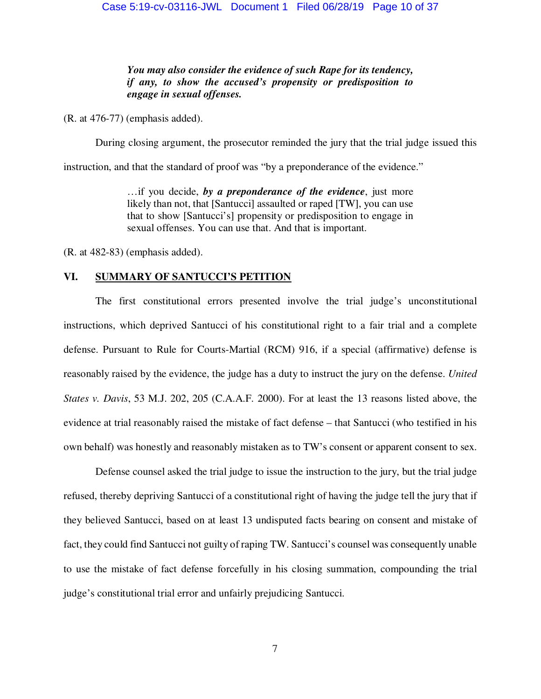*You may also consider the evidence of such Rape for its tendency, if any, to show the accused's propensity or predisposition to engage in sexual offenses.* 

(R. at 476-77) (emphasis added).

During closing argument, the prosecutor reminded the jury that the trial judge issued this

instruction, and that the standard of proof was "by a preponderance of the evidence."

…if you decide, *by a preponderance of the evidence*, just more likely than not, that [Santucci] assaulted or raped [TW], you can use that to show [Santucci's] propensity or predisposition to engage in sexual offenses. You can use that. And that is important.

(R. at 482-83) (emphasis added).

### **VI. SUMMARY OF SANTUCCI'S PETITION**

 The first constitutional errors presented involve the trial judge's unconstitutional instructions, which deprived Santucci of his constitutional right to a fair trial and a complete defense. Pursuant to Rule for Courts-Martial (RCM) 916, if a special (affirmative) defense is reasonably raised by the evidence, the judge has a duty to instruct the jury on the defense. *United States v. Davis*, 53 M.J. 202, 205 (C.A.A.F. 2000). For at least the 13 reasons listed above, the evidence at trial reasonably raised the mistake of fact defense – that Santucci (who testified in his own behalf) was honestly and reasonably mistaken as to TW's consent or apparent consent to sex.

 Defense counsel asked the trial judge to issue the instruction to the jury, but the trial judge refused, thereby depriving Santucci of a constitutional right of having the judge tell the jury that if they believed Santucci, based on at least 13 undisputed facts bearing on consent and mistake of fact, they could find Santucci not guilty of raping TW. Santucci's counsel was consequently unable to use the mistake of fact defense forcefully in his closing summation, compounding the trial judge's constitutional trial error and unfairly prejudicing Santucci.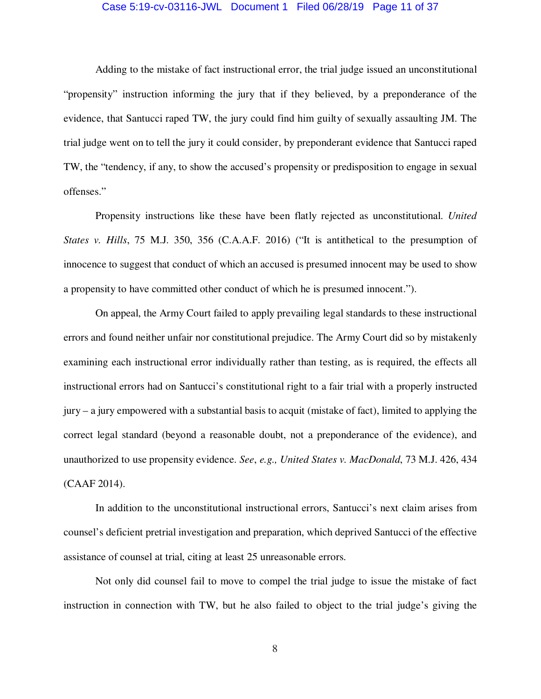### Case 5:19-cv-03116-JWL Document 1 Filed 06/28/19 Page 11 of 37

 Adding to the mistake of fact instructional error, the trial judge issued an unconstitutional "propensity" instruction informing the jury that if they believed, by a preponderance of the evidence, that Santucci raped TW, the jury could find him guilty of sexually assaulting JM. The trial judge went on to tell the jury it could consider, by preponderant evidence that Santucci raped TW, the "tendency, if any, to show the accused's propensity or predisposition to engage in sexual offenses."

 Propensity instructions like these have been flatly rejected as unconstitutional. *United States v. Hills*, 75 M.J. 350, 356 (C.A.A.F. 2016) ("It is antithetical to the presumption of innocence to suggest that conduct of which an accused is presumed innocent may be used to show a propensity to have committed other conduct of which he is presumed innocent.").

 On appeal, the Army Court failed to apply prevailing legal standards to these instructional errors and found neither unfair nor constitutional prejudice. The Army Court did so by mistakenly examining each instructional error individually rather than testing, as is required, the effects all instructional errors had on Santucci's constitutional right to a fair trial with a properly instructed jury – a jury empowered with a substantial basis to acquit (mistake of fact), limited to applying the correct legal standard (beyond a reasonable doubt, not a preponderance of the evidence), and unauthorized to use propensity evidence. *See*, *e.g., United States v. MacDonald*, 73 M.J. 426, 434 (CAAF 2014).

 In addition to the unconstitutional instructional errors, Santucci's next claim arises from counsel's deficient pretrial investigation and preparation, which deprived Santucci of the effective assistance of counsel at trial, citing at least 25 unreasonable errors.

 Not only did counsel fail to move to compel the trial judge to issue the mistake of fact instruction in connection with TW, but he also failed to object to the trial judge's giving the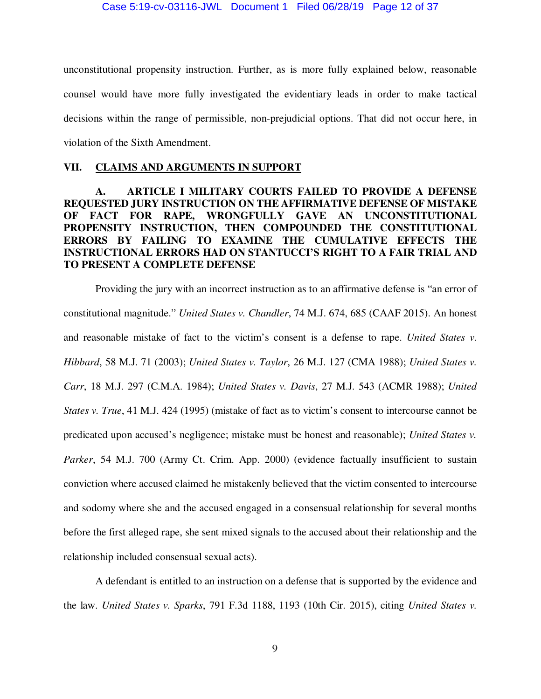unconstitutional propensity instruction. Further, as is more fully explained below, reasonable counsel would have more fully investigated the evidentiary leads in order to make tactical decisions within the range of permissible, non-prejudicial options. That did not occur here, in violation of the Sixth Amendment.

### **VII. CLAIMS AND ARGUMENTS IN SUPPORT**

## **A. ARTICLE I MILITARY COURTS FAILED TO PROVIDE A DEFENSE REQUESTED JURY INSTRUCTION ON THE AFFIRMATIVE DEFENSE OF MISTAKE OF FACT FOR RAPE, WRONGFULLY GAVE AN UNCONSTITUTIONAL PROPENSITY INSTRUCTION, THEN COMPOUNDED THE CONSTITUTIONAL ERRORS BY FAILING TO EXAMINE THE CUMULATIVE EFFECTS THE INSTRUCTIONAL ERRORS HAD ON STANTUCCI'S RIGHT TO A FAIR TRIAL AND TO PRESENT A COMPLETE DEFENSE**

 Providing the jury with an incorrect instruction as to an affirmative defense is "an error of constitutional magnitude." *United States v. Chandler*, 74 M.J. 674, 685 (CAAF 2015). An honest and reasonable mistake of fact to the victim's consent is a defense to rape. *United States v. Hibbard*, 58 M.J. 71 (2003); *United States v. Taylor*, 26 M.J. 127 (CMA 1988); *United States v. Carr*, 18 M.J. 297 (C.M.A. 1984); *United States v. Davis*, 27 M.J. 543 (ACMR 1988); *United States v. True*, 41 M.J. 424 (1995) (mistake of fact as to victim's consent to intercourse cannot be predicated upon accused's negligence; mistake must be honest and reasonable); *United States v. Parker*, 54 M.J. 700 (Army Ct. Crim. App. 2000) (evidence factually insufficient to sustain conviction where accused claimed he mistakenly believed that the victim consented to intercourse and sodomy where she and the accused engaged in a consensual relationship for several months before the first alleged rape, she sent mixed signals to the accused about their relationship and the relationship included consensual sexual acts).

 A defendant is entitled to an instruction on a defense that is supported by the evidence and the law. *United States v. Sparks*, 791 F.3d 1188, 1193 (10th Cir. 2015), citing *United States v.*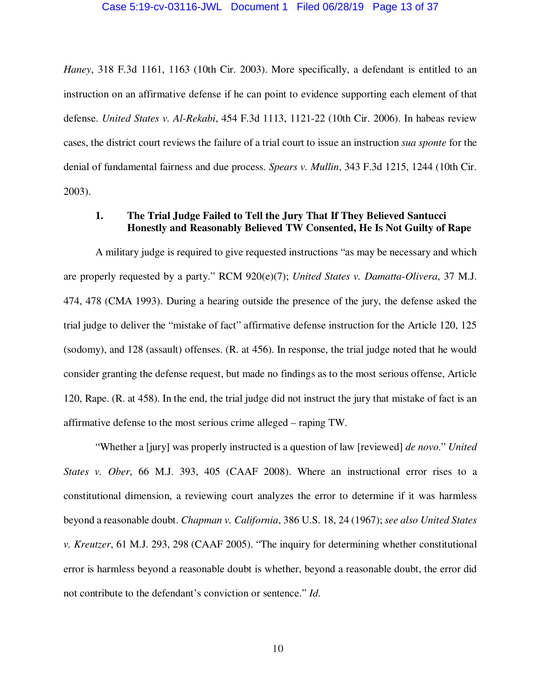### Case 5:19-cv-03116-JWL Document 1 Filed 06/28/19 Page 13 of 37

*Haney*, 318 F.3d 1161, 1163 (10th Cir. 2003). More specifically, a defendant is entitled to an instruction on an affirmative defense if he can point to evidence supporting each element of that defense. *United States v. Al-Rekabi*, 454 F.3d 1113, 1121-22 (10th Cir. 2006). In habeas review cases, the district court reviews the failure of a trial court to issue an instruction *sua sponte* for the denial of fundamental fairness and due process. *Spears v. Mullin*, 343 F.3d 1215, 1244 (10th Cir. 2003).

### **1. The Trial Judge Failed to Tell the Jury That If They Believed Santucci Honestly and Reasonably Believed TW Consented, He Is Not Guilty of Rape**

A military judge is required to give requested instructions "as may be necessary and which are properly requested by a party." RCM 920(e)(7); *United States v. Damatta-Olivera*, 37 M.J. 474, 478 (CMA 1993). During a hearing outside the presence of the jury, the defense asked the trial judge to deliver the "mistake of fact" affirmative defense instruction for the Article 120, 125 (sodomy), and 128 (assault) offenses. (R. at 456). In response, the trial judge noted that he would consider granting the defense request, but made no findings as to the most serious offense, Article 120, Rape. (R. at 458). In the end, the trial judge did not instruct the jury that mistake of fact is an affirmative defense to the most serious crime alleged – raping TW.

 "Whether a [jury] was properly instructed is a question of law [reviewed] *de novo*." *United States v. Ober*, 66 M.J. 393, 405 (CAAF 2008). Where an instructional error rises to a constitutional dimension, a reviewing court analyzes the error to determine if it was harmless beyond a reasonable doubt. *Chapman v. California*, 386 U.S. 18, 24 (1967); *see also United States v. Kreutzer*, 61 M.J. 293, 298 (CAAF 2005). "The inquiry for determining whether constitutional error is harmless beyond a reasonable doubt is whether, beyond a reasonable doubt, the error did not contribute to the defendant's conviction or sentence." *Id.*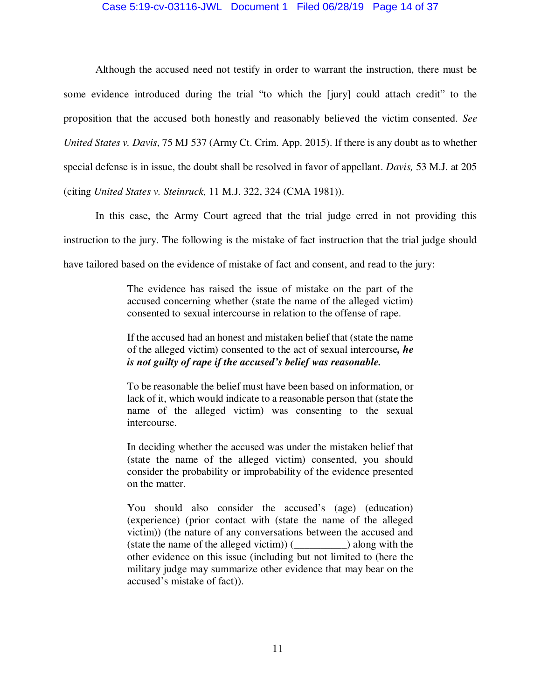### Case 5:19-cv-03116-JWL Document 1 Filed 06/28/19 Page 14 of 37

 Although the accused need not testify in order to warrant the instruction, there must be some evidence introduced during the trial "to which the [jury] could attach credit" to the proposition that the accused both honestly and reasonably believed the victim consented. *See United States v. Davis*, 75 MJ 537 (Army Ct. Crim. App. 2015). If there is any doubt as to whether special defense is in issue, the doubt shall be resolved in favor of appellant. *Davis,* 53 M.J. at 205 (citing *United States v. Steinruck,* 11 M.J. 322, 324 (CMA 1981)).

 In this case, the Army Court agreed that the trial judge erred in not providing this instruction to the jury. The following is the mistake of fact instruction that the trial judge should have tailored based on the evidence of mistake of fact and consent, and read to the jury:

> The evidence has raised the issue of mistake on the part of the accused concerning whether (state the name of the alleged victim) consented to sexual intercourse in relation to the offense of rape.

> If the accused had an honest and mistaken belief that (state the name of the alleged victim) consented to the act of sexual intercourse*, he is not guilty of rape if the accused's belief was reasonable.*

> To be reasonable the belief must have been based on information, or lack of it, which would indicate to a reasonable person that (state the name of the alleged victim) was consenting to the sexual intercourse.

> In deciding whether the accused was under the mistaken belief that (state the name of the alleged victim) consented, you should consider the probability or improbability of the evidence presented on the matter.

> You should also consider the accused's (age) (education) (experience) (prior contact with (state the name of the alleged victim)) (the nature of any conversations between the accused and (state the name of the alleged victim)) (\_\_\_\_\_\_\_\_\_\_) along with the other evidence on this issue (including but not limited to (here the military judge may summarize other evidence that may bear on the accused's mistake of fact)).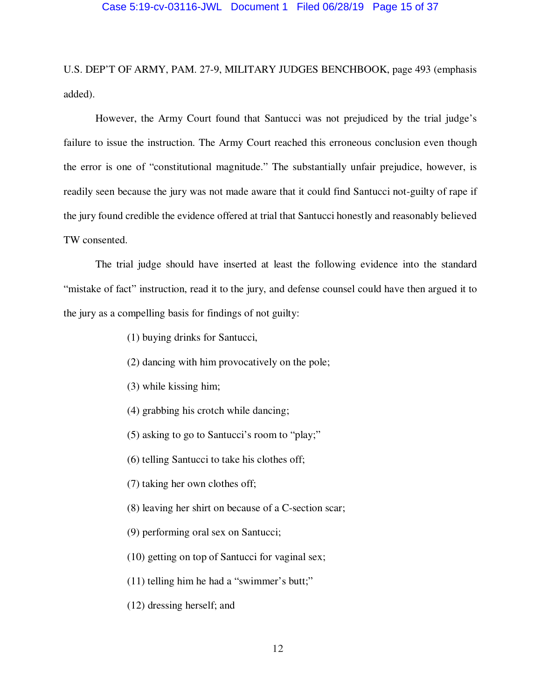U.S. DEP'T OF ARMY, PAM. 27-9, MILITARY JUDGES BENCHBOOK, page 493 (emphasis added).

 However, the Army Court found that Santucci was not prejudiced by the trial judge's failure to issue the instruction. The Army Court reached this erroneous conclusion even though the error is one of "constitutional magnitude." The substantially unfair prejudice, however, is readily seen because the jury was not made aware that it could find Santucci not-guilty of rape if the jury found credible the evidence offered at trial that Santucci honestly and reasonably believed TW consented.

 The trial judge should have inserted at least the following evidence into the standard "mistake of fact" instruction, read it to the jury, and defense counsel could have then argued it to the jury as a compelling basis for findings of not guilty:

- (1) buying drinks for Santucci,
- (2) dancing with him provocatively on the pole;
- (3) while kissing him;
- (4) grabbing his crotch while dancing;
- (5) asking to go to Santucci's room to "play;"
- (6) telling Santucci to take his clothes off;
- (7) taking her own clothes off;
- (8) leaving her shirt on because of a C-section scar;
- (9) performing oral sex on Santucci;
- (10) getting on top of Santucci for vaginal sex;
- (11) telling him he had a "swimmer's butt;"
- (12) dressing herself; and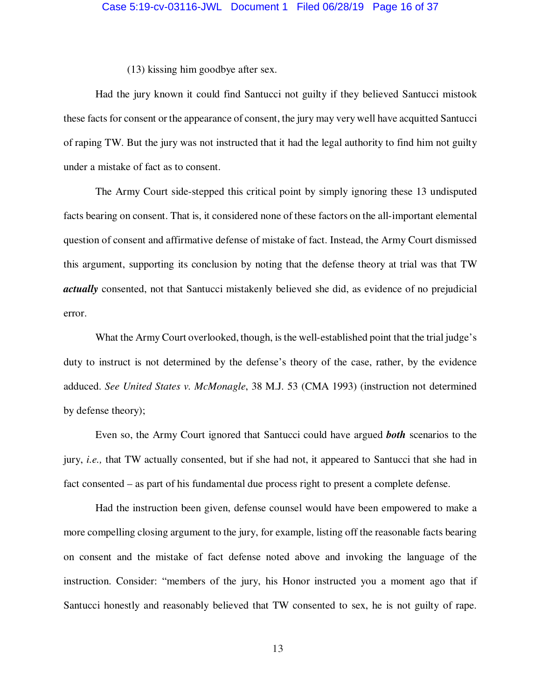(13) kissing him goodbye after sex.

 Had the jury known it could find Santucci not guilty if they believed Santucci mistook these facts for consent or the appearance of consent, the jury may very well have acquitted Santucci of raping TW. But the jury was not instructed that it had the legal authority to find him not guilty under a mistake of fact as to consent.

 The Army Court side-stepped this critical point by simply ignoring these 13 undisputed facts bearing on consent. That is, it considered none of these factors on the all-important elemental question of consent and affirmative defense of mistake of fact. Instead, the Army Court dismissed this argument, supporting its conclusion by noting that the defense theory at trial was that TW *actually* consented, not that Santucci mistakenly believed she did, as evidence of no prejudicial error.

What the Army Court overlooked, though, is the well-established point that the trial judge's duty to instruct is not determined by the defense's theory of the case, rather, by the evidence adduced. *See United States v. McMonagle*, 38 M.J. 53 (CMA 1993) (instruction not determined by defense theory);

 Even so, the Army Court ignored that Santucci could have argued *both* scenarios to the jury, *i.e.,* that TW actually consented, but if she had not, it appeared to Santucci that she had in fact consented – as part of his fundamental due process right to present a complete defense.

 Had the instruction been given, defense counsel would have been empowered to make a more compelling closing argument to the jury, for example, listing off the reasonable facts bearing on consent and the mistake of fact defense noted above and invoking the language of the instruction. Consider: "members of the jury, his Honor instructed you a moment ago that if Santucci honestly and reasonably believed that TW consented to sex, he is not guilty of rape.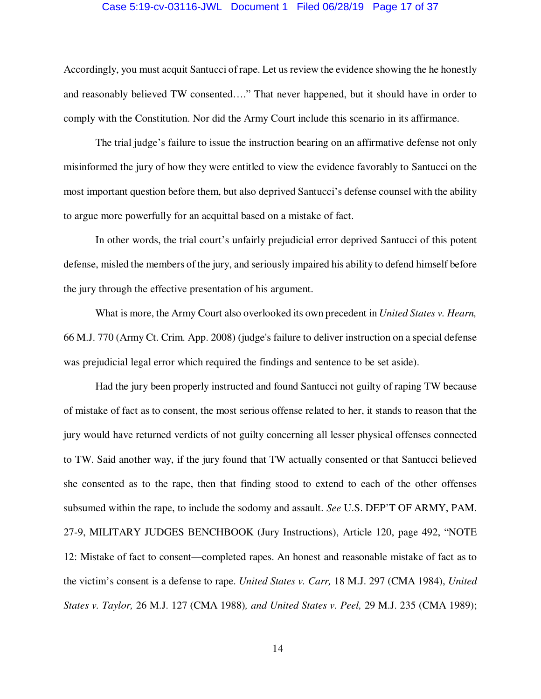### Case 5:19-cv-03116-JWL Document 1 Filed 06/28/19 Page 17 of 37

Accordingly, you must acquit Santucci of rape. Let us review the evidence showing the he honestly and reasonably believed TW consented…." That never happened, but it should have in order to comply with the Constitution. Nor did the Army Court include this scenario in its affirmance.

 The trial judge's failure to issue the instruction bearing on an affirmative defense not only misinformed the jury of how they were entitled to view the evidence favorably to Santucci on the most important question before them, but also deprived Santucci's defense counsel with the ability to argue more powerfully for an acquittal based on a mistake of fact.

 In other words, the trial court's unfairly prejudicial error deprived Santucci of this potent defense, misled the members of the jury, and seriously impaired his ability to defend himself before the jury through the effective presentation of his argument.

 What is more, the Army Court also overlooked its own precedent in *United States v. Hearn,*  66 M.J. 770 (Army Ct. Crim. App. 2008) (judge's failure to deliver instruction on a special defense was prejudicial legal error which required the findings and sentence to be set aside).

 Had the jury been properly instructed and found Santucci not guilty of raping TW because of mistake of fact as to consent, the most serious offense related to her, it stands to reason that the jury would have returned verdicts of not guilty concerning all lesser physical offenses connected to TW. Said another way, if the jury found that TW actually consented or that Santucci believed she consented as to the rape, then that finding stood to extend to each of the other offenses subsumed within the rape, to include the sodomy and assault. *See* U.S. DEP'T OF ARMY, PAM. 27-9, MILITARY JUDGES BENCHBOOK (Jury Instructions), Article 120, page 492, "NOTE 12: Mistake of fact to consent—completed rapes. An honest and reasonable mistake of fact as to the victim's consent is a defense to rape. *United States v. Carr,* 18 M.J. 297 (CMA 1984), *United States v. Taylor,* 26 M.J. 127 (CMA 1988)*, and United States v. Peel,* 29 M.J. 235 (CMA 1989);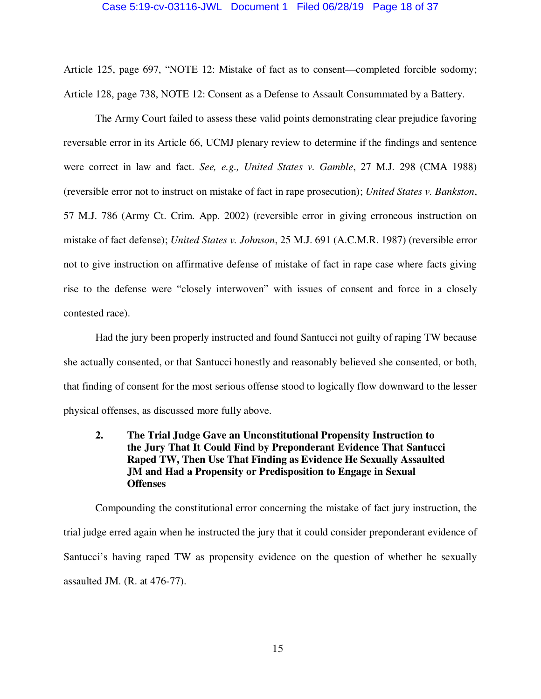#### Case 5:19-cv-03116-JWL Document 1 Filed 06/28/19 Page 18 of 37

Article 125, page 697, "NOTE 12: Mistake of fact as to consent—completed forcible sodomy; Article 128, page 738, NOTE 12: Consent as a Defense to Assault Consummated by a Battery.

 The Army Court failed to assess these valid points demonstrating clear prejudice favoring reversable error in its Article 66, UCMJ plenary review to determine if the findings and sentence were correct in law and fact. *See, e.g., United States v. Gamble*, 27 M.J. 298 (CMA 1988) (reversible error not to instruct on mistake of fact in rape prosecution); *United States v. Bankston*, 57 M.J. 786 (Army Ct. Crim. App. 2002) (reversible error in giving erroneous instruction on mistake of fact defense); *United States v. Johnson*, 25 M.J. 691 (A.C.M.R. 1987) (reversible error not to give instruction on affirmative defense of mistake of fact in rape case where facts giving rise to the defense were "closely interwoven" with issues of consent and force in a closely contested race).

 Had the jury been properly instructed and found Santucci not guilty of raping TW because she actually consented, or that Santucci honestly and reasonably believed she consented, or both, that finding of consent for the most serious offense stood to logically flow downward to the lesser physical offenses, as discussed more fully above.

 **2. The Trial Judge Gave an Unconstitutional Propensity Instruction to the Jury That It Could Find by Preponderant Evidence That Santucci Raped TW, Then Use That Finding as Evidence He Sexually Assaulted JM and Had a Propensity or Predisposition to Engage in Sexual Offenses** 

Compounding the constitutional error concerning the mistake of fact jury instruction, the trial judge erred again when he instructed the jury that it could consider preponderant evidence of Santucci's having raped TW as propensity evidence on the question of whether he sexually assaulted JM. (R. at 476-77).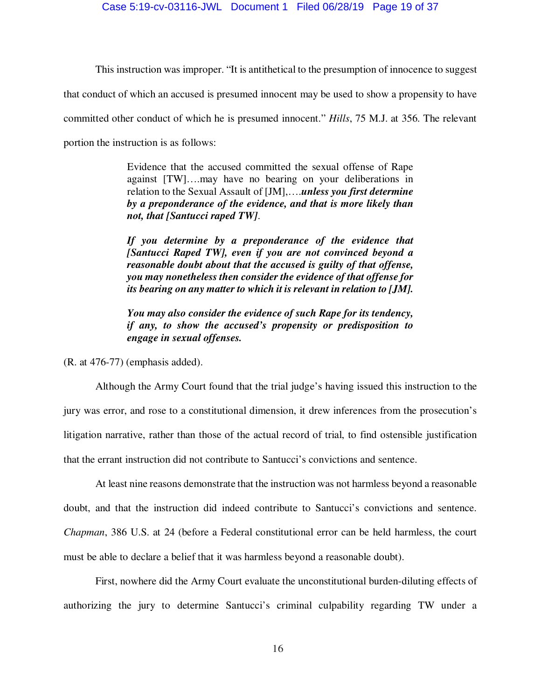This instruction was improper. "It is antithetical to the presumption of innocence to suggest

that conduct of which an accused is presumed innocent may be used to show a propensity to have

committed other conduct of which he is presumed innocent." *Hills*, 75 M.J. at 356. The relevant

portion the instruction is as follows:

Evidence that the accused committed the sexual offense of Rape against [TW]….may have no bearing on your deliberations in relation to the Sexual Assault of [JM],….*unless you first determine by a preponderance of the evidence, and that is more likely than not, that [Santucci raped TW]*.

*If you determine by a preponderance of the evidence that [Santucci Raped TW], even if you are not convinced beyond a reasonable doubt about that the accused is guilty of that offense, you may nonetheless then consider the evidence of that offense for its bearing on any matter to which it is relevant in relation to [JM].* 

*You may also consider the evidence of such Rape for its tendency, if any, to show the accused's propensity or predisposition to engage in sexual offenses.* 

(R. at 476-77) (emphasis added).

 Although the Army Court found that the trial judge's having issued this instruction to the jury was error, and rose to a constitutional dimension, it drew inferences from the prosecution's litigation narrative, rather than those of the actual record of trial, to find ostensible justification that the errant instruction did not contribute to Santucci's convictions and sentence.

 At least nine reasons demonstrate that the instruction was not harmless beyond a reasonable doubt, and that the instruction did indeed contribute to Santucci's convictions and sentence. *Chapman*, 386 U.S. at 24 (before a Federal constitutional error can be held harmless, the court must be able to declare a belief that it was harmless beyond a reasonable doubt).

 First, nowhere did the Army Court evaluate the unconstitutional burden-diluting effects of authorizing the jury to determine Santucci's criminal culpability regarding TW under a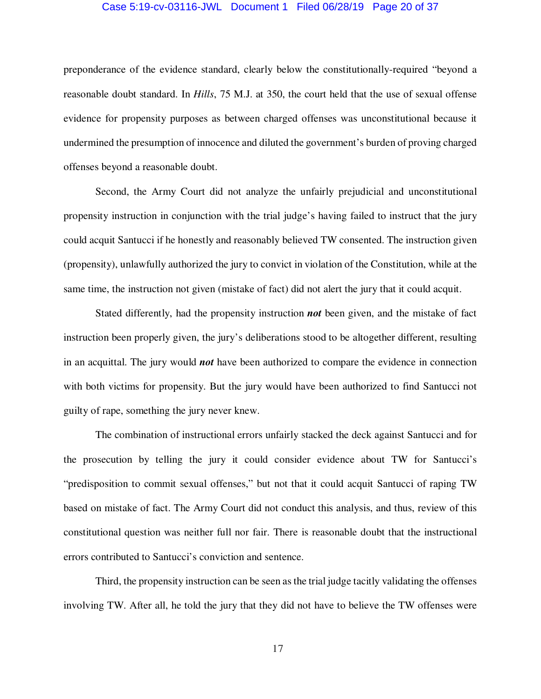### Case 5:19-cv-03116-JWL Document 1 Filed 06/28/19 Page 20 of 37

preponderance of the evidence standard, clearly below the constitutionally-required "beyond a reasonable doubt standard. In *Hills*, 75 M.J. at 350, the court held that the use of sexual offense evidence for propensity purposes as between charged offenses was unconstitutional because it undermined the presumption of innocence and diluted the government's burden of proving charged offenses beyond a reasonable doubt.

 Second, the Army Court did not analyze the unfairly prejudicial and unconstitutional propensity instruction in conjunction with the trial judge's having failed to instruct that the jury could acquit Santucci if he honestly and reasonably believed TW consented. The instruction given (propensity), unlawfully authorized the jury to convict in violation of the Constitution, while at the same time, the instruction not given (mistake of fact) did not alert the jury that it could acquit.

 Stated differently, had the propensity instruction *not* been given, and the mistake of fact instruction been properly given, the jury's deliberations stood to be altogether different, resulting in an acquittal. The jury would *not* have been authorized to compare the evidence in connection with both victims for propensity. But the jury would have been authorized to find Santucci not guilty of rape, something the jury never knew.

 The combination of instructional errors unfairly stacked the deck against Santucci and for the prosecution by telling the jury it could consider evidence about TW for Santucci's "predisposition to commit sexual offenses," but not that it could acquit Santucci of raping TW based on mistake of fact. The Army Court did not conduct this analysis, and thus, review of this constitutional question was neither full nor fair. There is reasonable doubt that the instructional errors contributed to Santucci's conviction and sentence.

 Third, the propensity instruction can be seen as the trial judge tacitly validating the offenses involving TW. After all, he told the jury that they did not have to believe the TW offenses were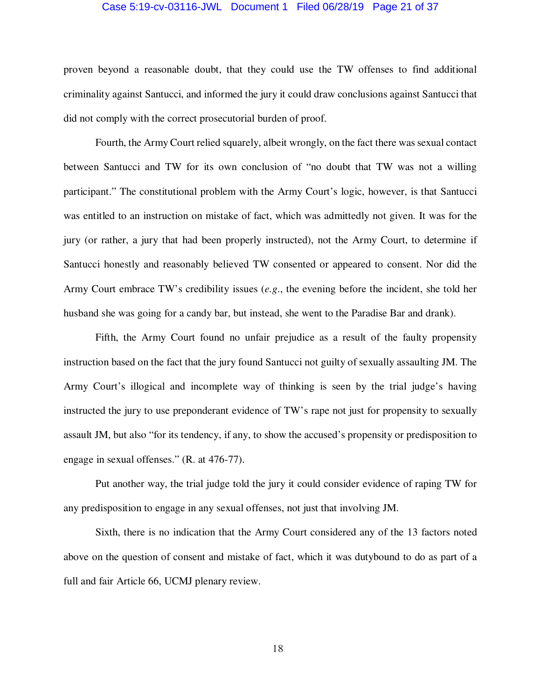### Case 5:19-cv-03116-JWL Document 1 Filed 06/28/19 Page 21 of 37

proven beyond a reasonable doubt, that they could use the TW offenses to find additional criminality against Santucci, and informed the jury it could draw conclusions against Santucci that did not comply with the correct prosecutorial burden of proof.

 Fourth, the Army Court relied squarely, albeit wrongly, on the fact there was sexual contact between Santucci and TW for its own conclusion of "no doubt that TW was not a willing participant." The constitutional problem with the Army Court's logic, however, is that Santucci was entitled to an instruction on mistake of fact, which was admittedly not given. It was for the jury (or rather, a jury that had been properly instructed), not the Army Court, to determine if Santucci honestly and reasonably believed TW consented or appeared to consent. Nor did the Army Court embrace TW's credibility issues (*e.g*., the evening before the incident, she told her husband she was going for a candy bar, but instead, she went to the Paradise Bar and drank).

 Fifth, the Army Court found no unfair prejudice as a result of the faulty propensity instruction based on the fact that the jury found Santucci not guilty of sexually assaulting JM. The Army Court's illogical and incomplete way of thinking is seen by the trial judge's having instructed the jury to use preponderant evidence of TW's rape not just for propensity to sexually assault JM, but also "for its tendency, if any, to show the accused's propensity or predisposition to engage in sexual offenses." (R. at 476-77).

 Put another way, the trial judge told the jury it could consider evidence of raping TW for any predisposition to engage in any sexual offenses, not just that involving JM.

 Sixth, there is no indication that the Army Court considered any of the 13 factors noted above on the question of consent and mistake of fact, which it was dutybound to do as part of a full and fair Article 66, UCMJ plenary review.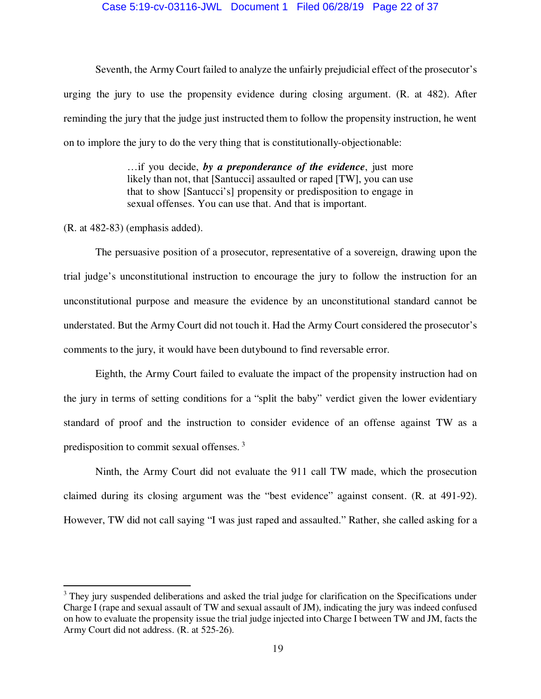### Case 5:19-cv-03116-JWL Document 1 Filed 06/28/19 Page 22 of 37

 Seventh, the Army Court failed to analyze the unfairly prejudicial effect of the prosecutor's urging the jury to use the propensity evidence during closing argument. (R. at 482). After reminding the jury that the judge just instructed them to follow the propensity instruction, he went on to implore the jury to do the very thing that is constitutionally-objectionable:

> …if you decide, *by a preponderance of the evidence*, just more likely than not, that [Santucci] assaulted or raped [TW], you can use that to show [Santucci's] propensity or predisposition to engage in sexual offenses. You can use that. And that is important.

(R. at 482-83) (emphasis added).

 $\overline{a}$ 

 The persuasive position of a prosecutor, representative of a sovereign, drawing upon the trial judge's unconstitutional instruction to encourage the jury to follow the instruction for an unconstitutional purpose and measure the evidence by an unconstitutional standard cannot be understated. But the Army Court did not touch it. Had the Army Court considered the prosecutor's comments to the jury, it would have been dutybound to find reversable error.

 Eighth, the Army Court failed to evaluate the impact of the propensity instruction had on the jury in terms of setting conditions for a "split the baby" verdict given the lower evidentiary standard of proof and the instruction to consider evidence of an offense against TW as a predisposition to commit sexual offenses.<sup>3</sup>

 Ninth, the Army Court did not evaluate the 911 call TW made, which the prosecution claimed during its closing argument was the "best evidence" against consent. (R. at 491-92). However, TW did not call saying "I was just raped and assaulted." Rather, she called asking for a

<sup>&</sup>lt;sup>3</sup> They jury suspended deliberations and asked the trial judge for clarification on the Specifications under Charge I (rape and sexual assault of TW and sexual assault of JM), indicating the jury was indeed confused on how to evaluate the propensity issue the trial judge injected into Charge I between TW and JM, facts the Army Court did not address. (R. at 525-26).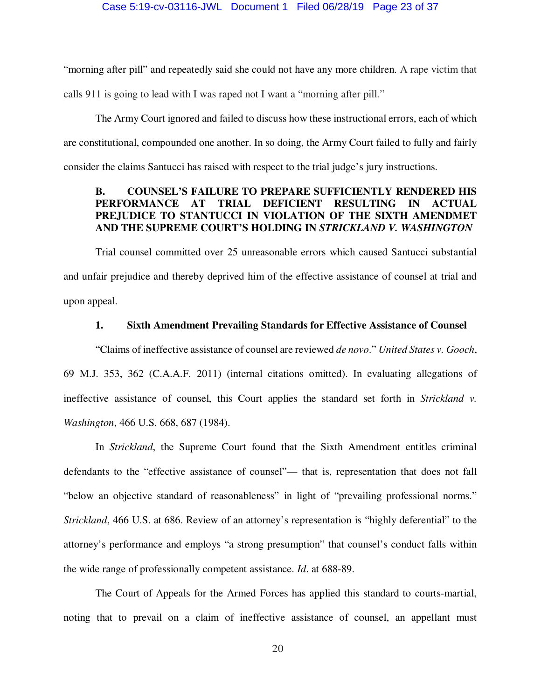"morning after pill" and repeatedly said she could not have any more children. A rape victim that calls 911 is going to lead with I was raped not I want a "morning after pill."

The Army Court ignored and failed to discuss how these instructional errors, each of which are constitutional, compounded one another. In so doing, the Army Court failed to fully and fairly consider the claims Santucci has raised with respect to the trial judge's jury instructions.

### **B. COUNSEL'S FAILURE TO PREPARE SUFFICIENTLY RENDERED HIS PERFORMANCE AT TRIAL DEFICIENT RESULTING IN ACTUAL PREJUDICE TO STANTUCCI IN VIOLATION OF THE SIXTH AMENDMET AND THE SUPREME COURT'S HOLDING IN** *STRICKLAND V. WASHINGTON*

Trial counsel committed over 25 unreasonable errors which caused Santucci substantial and unfair prejudice and thereby deprived him of the effective assistance of counsel at trial and upon appeal.

### **1. Sixth Amendment Prevailing Standards for Effective Assistance of Counsel**

"Claims of ineffective assistance of counsel are reviewed *de novo*." *United States v. Gooch*, 69 M.J. 353, 362 (C.A.A.F. 2011) (internal citations omitted). In evaluating allegations of ineffective assistance of counsel, this Court applies the standard set forth in *Strickland v. Washington*, 466 U.S. 668, 687 (1984).

 In *Strickland*, the Supreme Court found that the Sixth Amendment entitles criminal defendants to the "effective assistance of counsel"— that is, representation that does not fall "below an objective standard of reasonableness" in light of "prevailing professional norms." *Strickland*, 466 U.S. at 686. Review of an attorney's representation is "highly deferential" to the attorney's performance and employs "a strong presumption" that counsel's conduct falls within the wide range of professionally competent assistance. *Id*. at 688-89.

 The Court of Appeals for the Armed Forces has applied this standard to courts-martial, noting that to prevail on a claim of ineffective assistance of counsel, an appellant must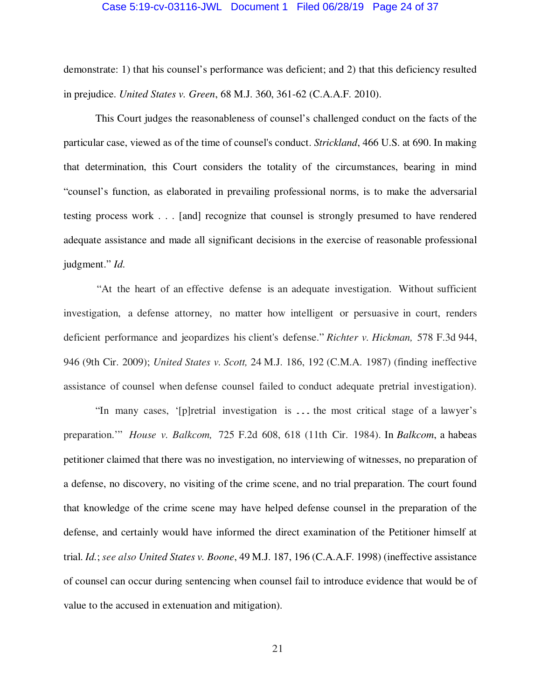### Case 5:19-cv-03116-JWL Document 1 Filed 06/28/19 Page 24 of 37

demonstrate: 1) that his counsel's performance was deficient; and 2) that this deficiency resulted in prejudice. *United States v. Green*, 68 M.J. 360, 361-62 (C.A.A.F. 2010).

 This Court judges the reasonableness of counsel's challenged conduct on the facts of the particular case, viewed as of the time of counsel's conduct. *Strickland*, 466 U.S. at 690. In making that determination, this Court considers the totality of the circumstances, bearing in mind "counsel's function, as elaborated in prevailing professional norms, is to make the adversarial testing process work . . . [and] recognize that counsel is strongly presumed to have rendered adequate assistance and made all significant decisions in the exercise of reasonable professional judgment." *Id*.

"At the heart of an effective defense is an adequate investigation. Without sufficient investigation, a defense attorney, no matter how intelligent or persuasive in court, renders deficient performance and jeopardizes his client's defense." *Richter v. Hickman,* 578 F.3d 944, 946 (9th Cir. 2009); *United States v. Scott,* 24 M.J. 186, 192 (C.M.A. 1987) (finding ineffective assistance of counsel when defense counsel failed to conduct adequate pretrial investigation).

"In many cases, '[p]retrial investigation is ... the most critical stage of a lawyer's preparation.'" *House v. Balkcom,* 725 F.2d 608, 618 (11th Cir. 1984). In *Balkcom*, a habeas petitioner claimed that there was no investigation, no interviewing of witnesses, no preparation of a defense, no discovery, no visiting of the crime scene, and no trial preparation. The court found that knowledge of the crime scene may have helped defense counsel in the preparation of the defense, and certainly would have informed the direct examination of the Petitioner himself at trial. *Id.*; *see also United States v. Boone*, 49 M.J. 187, 196 (C.A.A.F. 1998) (ineffective assistance of counsel can occur during sentencing when counsel fail to introduce evidence that would be of value to the accused in extenuation and mitigation).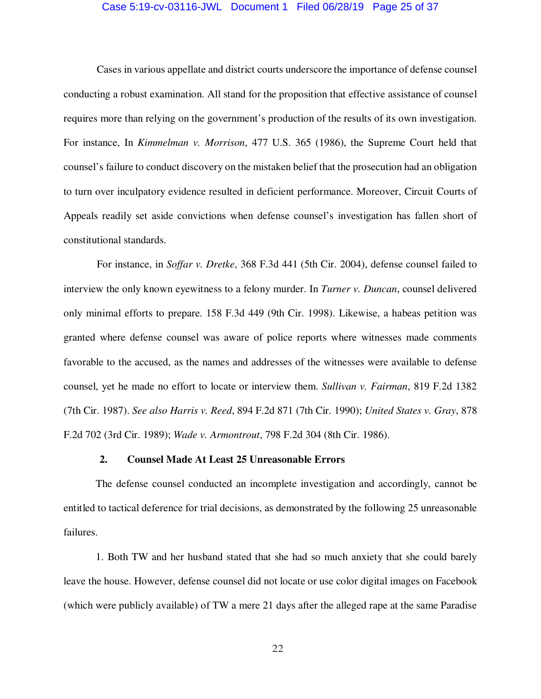### Case 5:19-cv-03116-JWL Document 1 Filed 06/28/19 Page 25 of 37

Cases in various appellate and district courts underscore the importance of defense counsel conducting a robust examination. All stand for the proposition that effective assistance of counsel requires more than relying on the government's production of the results of its own investigation. For instance, In *Kimmelman v. Morrison*, 477 U.S. 365 (1986), the Supreme Court held that counsel's failure to conduct discovery on the mistaken belief that the prosecution had an obligation to turn over inculpatory evidence resulted in deficient performance. Moreover, Circuit Courts of Appeals readily set aside convictions when defense counsel's investigation has fallen short of constitutional standards.

For instance, in *Soffar v. Dretke*, 368 F.3d 441 (5th Cir. 2004), defense counsel failed to interview the only known eyewitness to a felony murder. In *Turner v. Duncan*, counsel delivered only minimal efforts to prepare. 158 F.3d 449 (9th Cir. 1998). Likewise, a habeas petition was granted where defense counsel was aware of police reports where witnesses made comments favorable to the accused, as the names and addresses of the witnesses were available to defense counsel, yet he made no effort to locate or interview them. *Sullivan v. Fairman*, 819 F.2d 1382 (7th Cir. 1987). *See also Harris v. Reed*, 894 F.2d 871 (7th Cir. 1990); *United States v. Gray*, 878 F.2d 702 (3rd Cir. 1989); *Wade v. Armontrout*, 798 F.2d 304 (8th Cir. 1986).

### **2. Counsel Made At Least 25 Unreasonable Errors**

The defense counsel conducted an incomplete investigation and accordingly, cannot be entitled to tactical deference for trial decisions, as demonstrated by the following 25 unreasonable failures.

1. Both TW and her husband stated that she had so much anxiety that she could barely leave the house. However, defense counsel did not locate or use color digital images on Facebook (which were publicly available) of TW a mere 21 days after the alleged rape at the same Paradise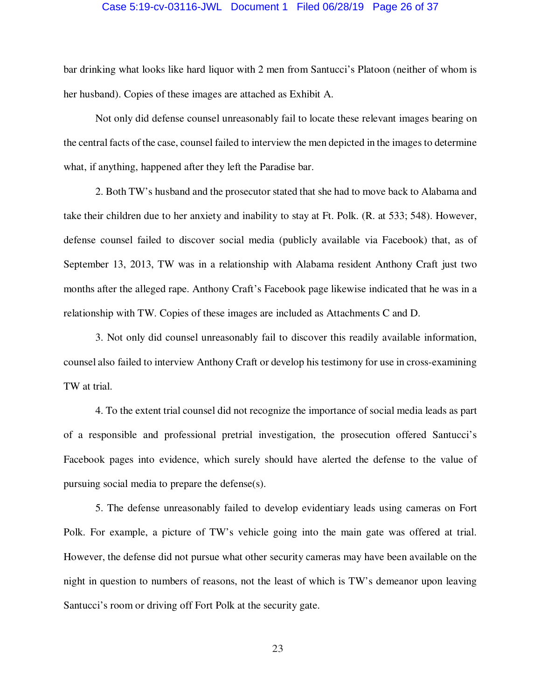### Case 5:19-cv-03116-JWL Document 1 Filed 06/28/19 Page 26 of 37

bar drinking what looks like hard liquor with 2 men from Santucci's Platoon (neither of whom is her husband). Copies of these images are attached as Exhibit A.

 Not only did defense counsel unreasonably fail to locate these relevant images bearing on the central facts of the case, counsel failed to interview the men depicted in the images to determine what, if anything, happened after they left the Paradise bar.

 2. Both TW's husband and the prosecutor stated that she had to move back to Alabama and take their children due to her anxiety and inability to stay at Ft. Polk. (R. at 533; 548). However, defense counsel failed to discover social media (publicly available via Facebook) that, as of September 13, 2013, TW was in a relationship with Alabama resident Anthony Craft just two months after the alleged rape. Anthony Craft's Facebook page likewise indicated that he was in a relationship with TW. Copies of these images are included as Attachments C and D.

 3. Not only did counsel unreasonably fail to discover this readily available information, counsel also failed to interview Anthony Craft or develop his testimony for use in cross-examining TW at trial.

 4. To the extent trial counsel did not recognize the importance of social media leads as part of a responsible and professional pretrial investigation, the prosecution offered Santucci's Facebook pages into evidence, which surely should have alerted the defense to the value of pursuing social media to prepare the defense(s).

 5. The defense unreasonably failed to develop evidentiary leads using cameras on Fort Polk. For example, a picture of TW's vehicle going into the main gate was offered at trial. However, the defense did not pursue what other security cameras may have been available on the night in question to numbers of reasons, not the least of which is TW's demeanor upon leaving Santucci's room or driving off Fort Polk at the security gate.

23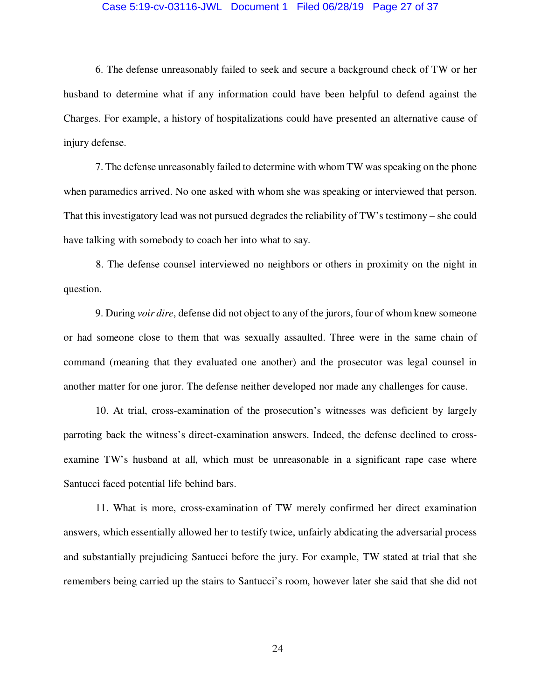### Case 5:19-cv-03116-JWL Document 1 Filed 06/28/19 Page 27 of 37

 6. The defense unreasonably failed to seek and secure a background check of TW or her husband to determine what if any information could have been helpful to defend against the Charges. For example, a history of hospitalizations could have presented an alternative cause of injury defense.

 7. The defense unreasonably failed to determine with whom TW was speaking on the phone when paramedics arrived. No one asked with whom she was speaking or interviewed that person. That this investigatory lead was not pursued degrades the reliability of TW's testimony – she could have talking with somebody to coach her into what to say.

8. The defense counsel interviewed no neighbors or others in proximity on the night in question.

 9. During *voir dire*, defense did not object to any of the jurors, four of whom knew someone or had someone close to them that was sexually assaulted. Three were in the same chain of command (meaning that they evaluated one another) and the prosecutor was legal counsel in another matter for one juror. The defense neither developed nor made any challenges for cause.

 10. At trial, cross-examination of the prosecution's witnesses was deficient by largely parroting back the witness's direct-examination answers. Indeed, the defense declined to crossexamine TW's husband at all, which must be unreasonable in a significant rape case where Santucci faced potential life behind bars.

 11. What is more, cross-examination of TW merely confirmed her direct examination answers, which essentially allowed her to testify twice, unfairly abdicating the adversarial process and substantially prejudicing Santucci before the jury. For example, TW stated at trial that she remembers being carried up the stairs to Santucci's room, however later she said that she did not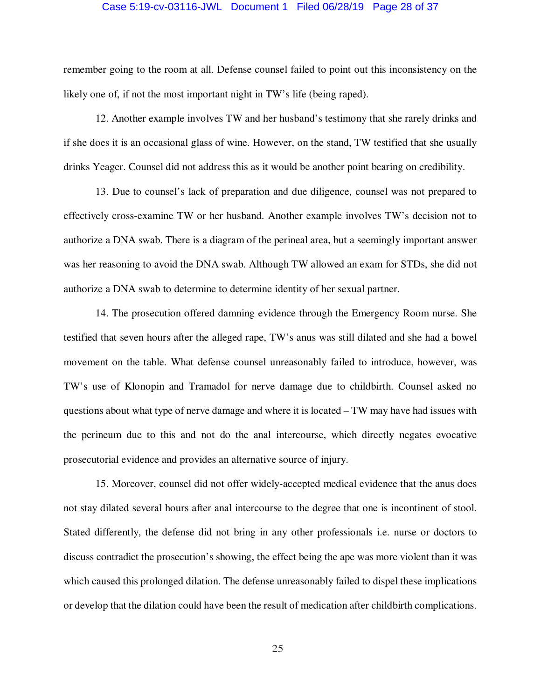### Case 5:19-cv-03116-JWL Document 1 Filed 06/28/19 Page 28 of 37

remember going to the room at all. Defense counsel failed to point out this inconsistency on the likely one of, if not the most important night in TW's life (being raped).

 12. Another example involves TW and her husband's testimony that she rarely drinks and if she does it is an occasional glass of wine. However, on the stand, TW testified that she usually drinks Yeager. Counsel did not address this as it would be another point bearing on credibility.

 13. Due to counsel's lack of preparation and due diligence, counsel was not prepared to effectively cross-examine TW or her husband. Another example involves TW's decision not to authorize a DNA swab. There is a diagram of the perineal area, but a seemingly important answer was her reasoning to avoid the DNA swab. Although TW allowed an exam for STDs, she did not authorize a DNA swab to determine to determine identity of her sexual partner.

 14. The prosecution offered damning evidence through the Emergency Room nurse. She testified that seven hours after the alleged rape, TW's anus was still dilated and she had a bowel movement on the table. What defense counsel unreasonably failed to introduce, however, was TW's use of Klonopin and Tramadol for nerve damage due to childbirth. Counsel asked no questions about what type of nerve damage and where it is located – TW may have had issues with the perineum due to this and not do the anal intercourse, which directly negates evocative prosecutorial evidence and provides an alternative source of injury.

 15. Moreover, counsel did not offer widely-accepted medical evidence that the anus does not stay dilated several hours after anal intercourse to the degree that one is incontinent of stool. Stated differently, the defense did not bring in any other professionals i.e. nurse or doctors to discuss contradict the prosecution's showing, the effect being the ape was more violent than it was which caused this prolonged dilation. The defense unreasonably failed to dispel these implications or develop that the dilation could have been the result of medication after childbirth complications.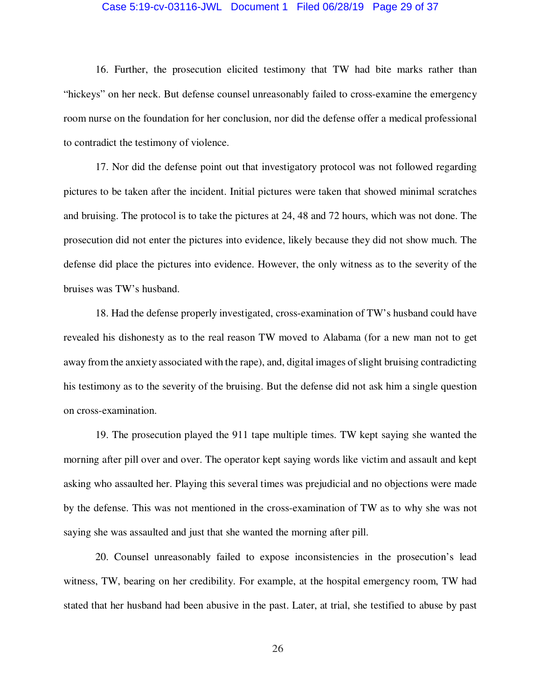### Case 5:19-cv-03116-JWL Document 1 Filed 06/28/19 Page 29 of 37

 16. Further, the prosecution elicited testimony that TW had bite marks rather than "hickeys" on her neck. But defense counsel unreasonably failed to cross-examine the emergency room nurse on the foundation for her conclusion, nor did the defense offer a medical professional to contradict the testimony of violence.

 17. Nor did the defense point out that investigatory protocol was not followed regarding pictures to be taken after the incident. Initial pictures were taken that showed minimal scratches and bruising. The protocol is to take the pictures at 24, 48 and 72 hours, which was not done. The prosecution did not enter the pictures into evidence, likely because they did not show much. The defense did place the pictures into evidence. However, the only witness as to the severity of the bruises was TW's husband.

 18. Had the defense properly investigated, cross-examination of TW's husband could have revealed his dishonesty as to the real reason TW moved to Alabama (for a new man not to get away from the anxiety associated with the rape), and, digital images of slight bruising contradicting his testimony as to the severity of the bruising. But the defense did not ask him a single question on cross-examination.

 19. The prosecution played the 911 tape multiple times. TW kept saying she wanted the morning after pill over and over. The operator kept saying words like victim and assault and kept asking who assaulted her. Playing this several times was prejudicial and no objections were made by the defense. This was not mentioned in the cross-examination of TW as to why she was not saying she was assaulted and just that she wanted the morning after pill.

 20. Counsel unreasonably failed to expose inconsistencies in the prosecution's lead witness, TW, bearing on her credibility. For example, at the hospital emergency room, TW had stated that her husband had been abusive in the past. Later, at trial, she testified to abuse by past

26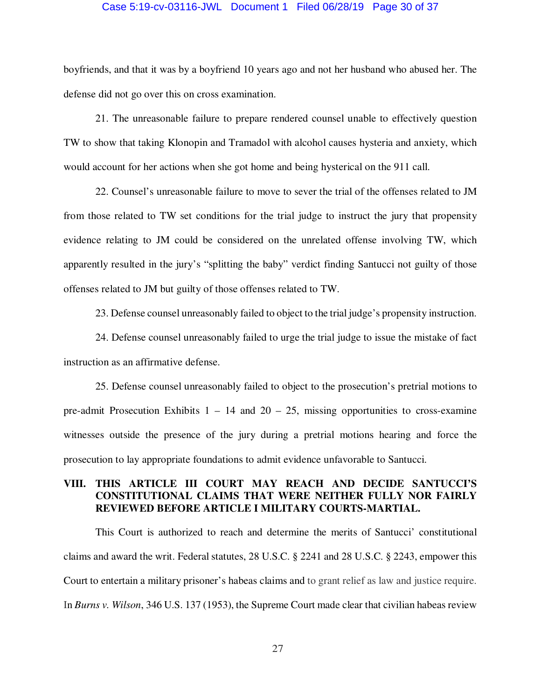### Case 5:19-cv-03116-JWL Document 1 Filed 06/28/19 Page 30 of 37

boyfriends, and that it was by a boyfriend 10 years ago and not her husband who abused her. The defense did not go over this on cross examination.

 21. The unreasonable failure to prepare rendered counsel unable to effectively question TW to show that taking Klonopin and Tramadol with alcohol causes hysteria and anxiety, which would account for her actions when she got home and being hysterical on the 911 call.

 22. Counsel's unreasonable failure to move to sever the trial of the offenses related to JM from those related to TW set conditions for the trial judge to instruct the jury that propensity evidence relating to JM could be considered on the unrelated offense involving TW, which apparently resulted in the jury's "splitting the baby" verdict finding Santucci not guilty of those offenses related to JM but guilty of those offenses related to TW.

23. Defense counsel unreasonably failed to object to the trial judge's propensity instruction.

 24. Defense counsel unreasonably failed to urge the trial judge to issue the mistake of fact instruction as an affirmative defense.

 25. Defense counsel unreasonably failed to object to the prosecution's pretrial motions to pre-admit Prosecution Exhibits  $1 - 14$  and  $20 - 25$ , missing opportunities to cross-examine witnesses outside the presence of the jury during a pretrial motions hearing and force the prosecution to lay appropriate foundations to admit evidence unfavorable to Santucci.

### **VIII. THIS ARTICLE III COURT MAY REACH AND DECIDE SANTUCCI'S CONSTITUTIONAL CLAIMS THAT WERE NEITHER FULLY NOR FAIRLY REVIEWED BEFORE ARTICLE I MILITARY COURTS-MARTIAL.**

This Court is authorized to reach and determine the merits of Santucci' constitutional claims and award the writ. Federal statutes, 28 U.S.C. § 2241 and 28 U.S.C. § 2243, empower this Court to entertain a military prisoner's habeas claims and to grant relief as law and justice require. In *Burns v. Wilson*, 346 U.S. 137 (1953), the Supreme Court made clear that civilian habeas review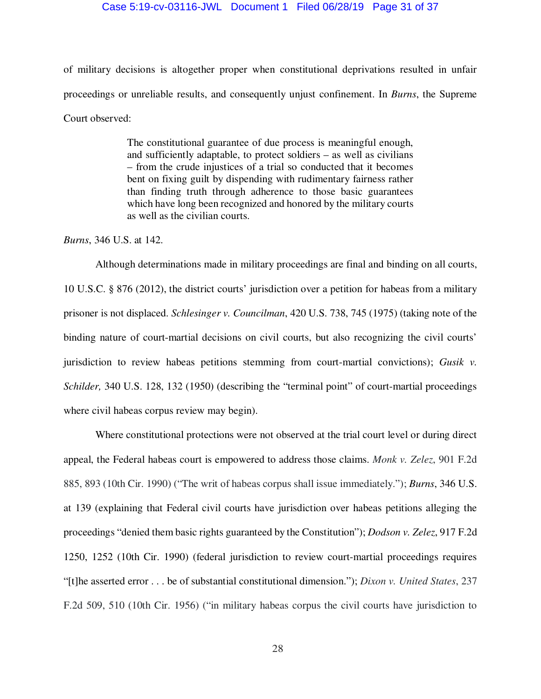### Case 5:19-cv-03116-JWL Document 1 Filed 06/28/19 Page 31 of 37

of military decisions is altogether proper when constitutional deprivations resulted in unfair proceedings or unreliable results, and consequently unjust confinement. In *Burns*, the Supreme Court observed:

> The constitutional guarantee of due process is meaningful enough, and sufficiently adaptable, to protect soldiers – as well as civilians – from the crude injustices of a trial so conducted that it becomes bent on fixing guilt by dispending with rudimentary fairness rather than finding truth through adherence to those basic guarantees which have long been recognized and honored by the military courts as well as the civilian courts.

*Burns*, 346 U.S. at 142.

 Although determinations made in military proceedings are final and binding on all courts, 10 U.S.C. § 876 (2012), the district courts' jurisdiction over a petition for habeas from a military prisoner is not displaced. *Schlesinger v. Councilman*, 420 U.S. 738, 745 (1975) (taking note of the binding nature of court-martial decisions on civil courts, but also recognizing the civil courts' jurisdiction to review habeas petitions stemming from court-martial convictions); *Gusik v. Schilder,* 340 U.S. 128, 132 (1950) (describing the "terminal point" of court-martial proceedings where civil habeas corpus review may begin).

Where constitutional protections were not observed at the trial court level or during direct appeal, the Federal habeas court is empowered to address those claims. *Monk v. Zelez*, 901 F.2d 885, 893 (10th Cir. 1990) ("The writ of habeas corpus shall issue immediately."); *Burns*, 346 U.S. at 139 (explaining that Federal civil courts have jurisdiction over habeas petitions alleging the proceedings "denied them basic rights guaranteed by the Constitution"); *Dodson v. Zelez*, 917 F.2d 1250, 1252 (10th Cir. 1990) (federal jurisdiction to review court-martial proceedings requires "[t]he asserted error . . . be of substantial constitutional dimension."); *Dixon v. United States*, 237 F.2d 509, 510 (10th Cir. 1956) ("in military habeas corpus the civil courts have jurisdiction to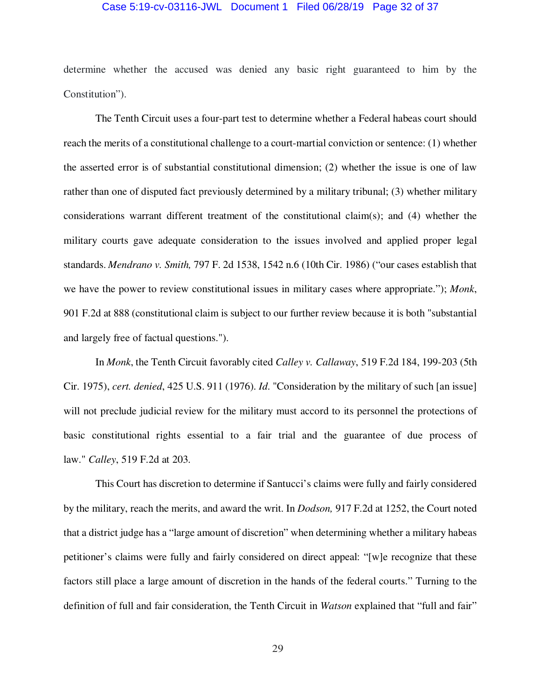### Case 5:19-cv-03116-JWL Document 1 Filed 06/28/19 Page 32 of 37

determine whether the accused was denied any basic right guaranteed to him by the Constitution").

 The Tenth Circuit uses a four-part test to determine whether a Federal habeas court should reach the merits of a constitutional challenge to a court-martial conviction or sentence: (1) whether the asserted error is of substantial constitutional dimension; (2) whether the issue is one of law rather than one of disputed fact previously determined by a military tribunal; (3) whether military considerations warrant different treatment of the constitutional claim(s); and (4) whether the military courts gave adequate consideration to the issues involved and applied proper legal standards. *Mendrano v. Smith,* 797 F. 2d 1538, 1542 n.6 (10th Cir. 1986) ("our cases establish that we have the power to review constitutional issues in military cases where appropriate."); *Monk*, 901 F.2d at 888 (constitutional claim is subject to our further review because it is both "substantial and largely free of factual questions.").

 In *Monk*, the Tenth Circuit favorably cited *Calley v. Callaway*, 519 F.2d 184, 199-203 (5th Cir. 1975), *cert. denied*, 425 U.S. 911 (1976). *Id*. "Consideration by the military of such [an issue] will not preclude judicial review for the military must accord to its personnel the protections of basic constitutional rights essential to a fair trial and the guarantee of due process of law." *Calley*, 519 F.2d at 203.

 This Court has discretion to determine if Santucci's claims were fully and fairly considered by the military, reach the merits, and award the writ. In *Dodson,* 917 F.2d at 1252, the Court noted that a district judge has a "large amount of discretion" when determining whether a military habeas petitioner's claims were fully and fairly considered on direct appeal: "[w]e recognize that these factors still place a large amount of discretion in the hands of the federal courts." Turning to the definition of full and fair consideration, the Tenth Circuit in *Watson* explained that "full and fair"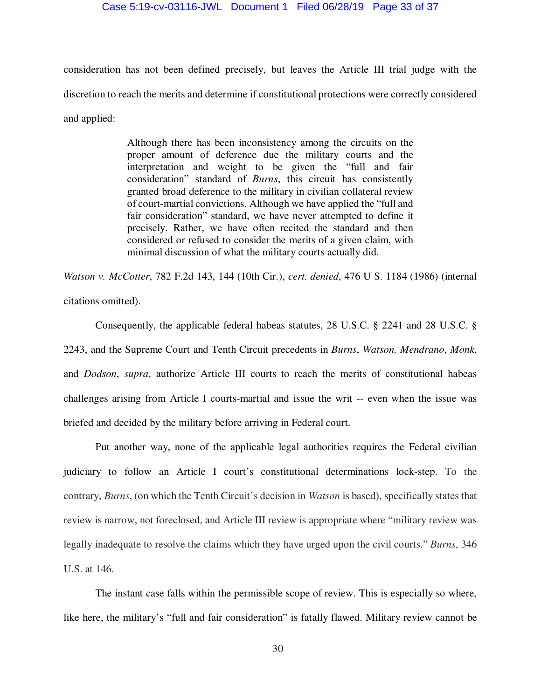### Case 5:19-cv-03116-JWL Document 1 Filed 06/28/19 Page 33 of 37

consideration has not been defined precisely, but leaves the Article III trial judge with the discretion to reach the merits and determine if constitutional protections were correctly considered and applied:

> Although there has been inconsistency among the circuits on the proper amount of deference due the military courts and the interpretation and weight to be given the "full and fair consideration" standard of *Burns*, this circuit has consistently granted broad deference to the military in civilian collateral review of court-martial convictions. Although we have applied the "full and fair consideration" standard, we have never attempted to define it precisely. Rather, we have often recited the standard and then considered or refused to consider the merits of a given claim, with minimal discussion of what the military courts actually did.

*Watson v. McCotter*, 782 F.2d 143, 144 (10th Cir.), *cert. denied*, 476 U S. 1184 (1986) (internal citations omitted).

 Consequently, the applicable federal habeas statutes, 28 U.S.C. § 2241 and 28 U.S.C. § 2243, and the Supreme Court and Tenth Circuit precedents in *Burns*, *Watson, Mendrano*, *Monk*, and *Dodson*, *supra*, authorize Article III courts to reach the merits of constitutional habeas challenges arising from Article I courts-martial and issue the writ -- even when the issue was briefed and decided by the military before arriving in Federal court.

 Put another way, none of the applicable legal authorities requires the Federal civilian judiciary to follow an Article I court's constitutional determinations lock-step. To the contrary, *Burns*, (on which the Tenth Circuit's decision in *Watson* is based), specifically states that review is narrow, not foreclosed, and Article III review is appropriate where "military review was legally inadequate to resolve the claims which they have urged upon the civil courts." *Burns*, 346 U.S. at 146.

 The instant case falls within the permissible scope of review. This is especially so where, like here, the military's "full and fair consideration" is fatally flawed. Military review cannot be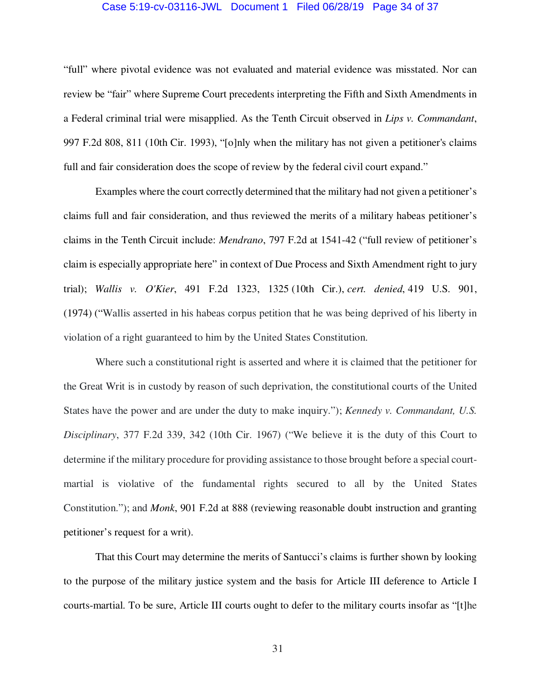### Case 5:19-cv-03116-JWL Document 1 Filed 06/28/19 Page 34 of 37

"full" where pivotal evidence was not evaluated and material evidence was misstated. Nor can review be "fair" where Supreme Court precedents interpreting the Fifth and Sixth Amendments in a Federal criminal trial were misapplied. As the Tenth Circuit observed in *Lips v. Commandant*, 997 F.2d 808, 811 (10th Cir. 1993), "[o]nly when the military has not given a petitioner's claims full and fair consideration does the scope of review by the federal civil court expand."

 Examples where the court correctly determined that the military had not given a petitioner's claims full and fair consideration, and thus reviewed the merits of a military habeas petitioner's claims in the Tenth Circuit include: *Mendrano*, 797 F.2d at 1541-42 ("full review of petitioner's claim is especially appropriate here" in context of Due Process and Sixth Amendment right to jury trial); *Wallis v. O'Kier*, 491 F.2d 1323, 1325 (10th Cir.), *cert. denied*, 419 U.S. 901, (1974) ("Wallis asserted in his habeas corpus petition that he was being deprived of his liberty in violation of a right guaranteed to him by the United States Constitution.

 Where such a constitutional right is asserted and where it is claimed that the petitioner for the Great Writ is in custody by reason of such deprivation, the constitutional courts of the United States have the power and are under the duty to make inquiry."); *Kennedy v. Commandant, U.S. Disciplinary*, 377 F.2d 339, 342 (10th Cir. 1967) ("We believe it is the duty of this Court to determine if the military procedure for providing assistance to those brought before a special courtmartial is violative of the fundamental rights secured to all by the United States Constitution."); and *Monk*, 901 F.2d at 888 (reviewing reasonable doubt instruction and granting petitioner's request for a writ).

 That this Court may determine the merits of Santucci's claims is further shown by looking to the purpose of the military justice system and the basis for Article III deference to Article I courts-martial. To be sure, Article III courts ought to defer to the military courts insofar as "[t]he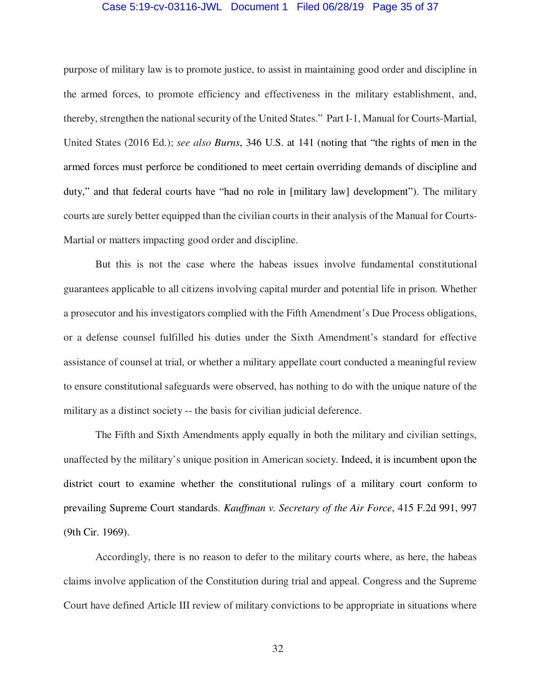### Case 5:19-cv-03116-JWL Document 1 Filed 06/28/19 Page 35 of 37

purpose of military law is to promote justice, to assist in maintaining good order and discipline in the armed forces, to promote efficiency and effectiveness in the military establishment, and, thereby, strengthen the national security of the United States." Part I-1, Manual for Courts-Martial, United States (2016 Ed.); *see also Burns*, 346 U.S. at 141 (noting that "the rights of men in the armed forces must perforce be conditioned to meet certain overriding demands of discipline and duty," and that federal courts have "had no role in [military law] development"). The military courts are surely better equipped than the civilian courts in their analysis of the Manual for Courts-Martial or matters impacting good order and discipline.

 But this is not the case where the habeas issues involve fundamental constitutional guarantees applicable to all citizens involving capital murder and potential life in prison. Whether a prosecutor and his investigators complied with the Fifth Amendment's Due Process obligations, or a defense counsel fulfilled his duties under the Sixth Amendment's standard for effective assistance of counsel at trial, or whether a military appellate court conducted a meaningful review to ensure constitutional safeguards were observed, has nothing to do with the unique nature of the military as a distinct society -- the basis for civilian judicial deference.

 The Fifth and Sixth Amendments apply equally in both the military and civilian settings, unaffected by the military's unique position in American society. Indeed, it is incumbent upon the district court to examine whether the constitutional rulings of a military court conform to prevailing Supreme Court standards. *Kauffman v. Secretary of the Air Force*, 415 F.2d 991, 997 (9th Cir. 1969).

 Accordingly, there is no reason to defer to the military courts where, as here, the habeas claims involve application of the Constitution during trial and appeal. Congress and the Supreme Court have defined Article III review of military convictions to be appropriate in situations where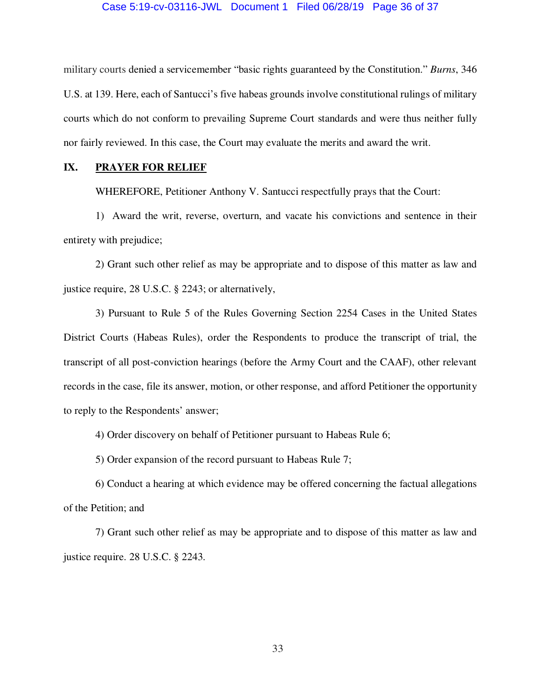### Case 5:19-cv-03116-JWL Document 1 Filed 06/28/19 Page 36 of 37

military courts denied a servicemember "basic rights guaranteed by the Constitution." *Burns*, 346 U.S. at 139. Here, each of Santucci's five habeas grounds involve constitutional rulings of military courts which do not conform to prevailing Supreme Court standards and were thus neither fully nor fairly reviewed. In this case, the Court may evaluate the merits and award the writ.

### **IX. PRAYER FOR RELIEF**

WHEREFORE, Petitioner Anthony V. Santucci respectfully prays that the Court:

 1) Award the writ, reverse, overturn, and vacate his convictions and sentence in their entirety with prejudice;

 2) Grant such other relief as may be appropriate and to dispose of this matter as law and justice require, 28 U.S.C. § 2243; or alternatively,

 3) Pursuant to Rule 5 of the Rules Governing Section 2254 Cases in the United States District Courts (Habeas Rules), order the Respondents to produce the transcript of trial, the transcript of all post-conviction hearings (before the Army Court and the CAAF), other relevant records in the case, file its answer, motion, or other response, and afford Petitioner the opportunity to reply to the Respondents' answer;

4) Order discovery on behalf of Petitioner pursuant to Habeas Rule 6;

5) Order expansion of the record pursuant to Habeas Rule 7;

 6) Conduct a hearing at which evidence may be offered concerning the factual allegations of the Petition; and

 7) Grant such other relief as may be appropriate and to dispose of this matter as law and justice require. 28 U.S.C. § 2243.